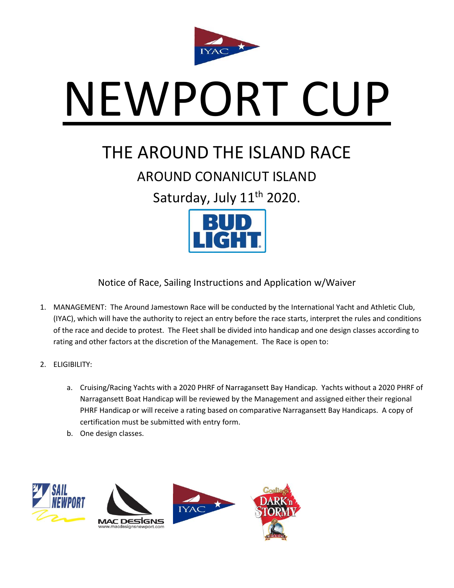

# NEWPORT CUP

## THE AROUND THE ISLAND RACE

### AROUND CONANICUT ISLAND

Saturday, July 11<sup>th</sup> 2020.



Notice of Race, Sailing Instructions and Application w/Waiver

- 1. MANAGEMENT: The Around Jamestown Race will be conducted by the International Yacht and Athletic Club, (IYAC), which will have the authority to reject an entry before the race starts, interpret the rules and conditions of the race and decide to protest. The Fleet shall be divided into handicap and one design classes according to rating and other factors at the discretion of the Management. The Race is open to:
- 2. ELIGIBILITY:
	- a. Cruising/Racing Yachts with a 2020 PHRF of Narragansett Bay Handicap. Yachts without a 2020 PHRF of Narragansett Boat Handicap will be reviewed by the Management and assigned either their regional PHRF Handicap or will receive a rating based on comparative Narragansett Bay Handicaps. A copy of certification must be submitted with entry form.
	- b. One design classes.

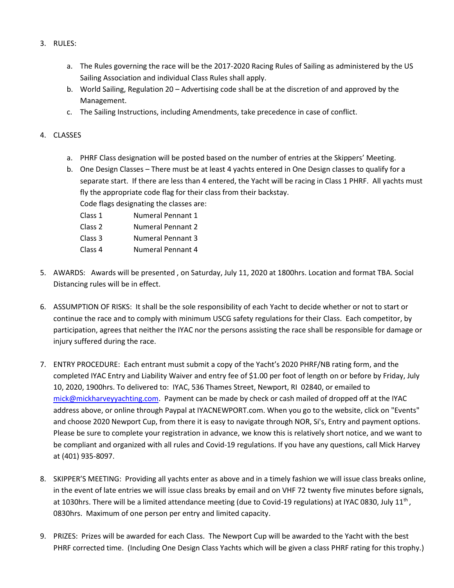- 3. RULES:
	- a. The Rules governing the race will be the 2017-2020 Racing Rules of Sailing as administered by the US Sailing Association and individual Class Rules shall apply.
	- b. World Sailing, Regulation 20 Advertising code shall be at the discretion of and approved by the Management.
	- c. The Sailing Instructions, including Amendments, take precedence in case of conflict.

#### 4. CLASSES

- a. PHRF Class designation will be posted based on the number of entries at the Skippers' Meeting.
- b. One Design Classes There must be at least 4 yachts entered in One Design classes to qualify for a separate start. If there are less than 4 entered, the Yacht will be racing in Class 1 PHRF. All yachts must fly the appropriate code flag for their class from their backstay.
	- Code flags designating the classes are:
	- Class 1 Numeral Pennant 1
	- Class 2 Numeral Pennant 2
	- Class 3 Numeral Pennant 3
	- Class 4 Numeral Pennant 4
- 5. AWARDS: Awards will be presented , on Saturday, July 11, 2020 at 1800hrs. Location and format TBA. Social Distancing rules will be in effect.
- 6. ASSUMPTION OF RISKS: It shall be the sole responsibility of each Yacht to decide whether or not to start or continue the race and to comply with minimum USCG safety regulations for their Class. Each competitor, by participation, agrees that neither the IYAC nor the persons assisting the race shall be responsible for damage or injury suffered during the race.
- 7. ENTRY PROCEDURE: Each entrant must submit a copy of the Yacht's 2020 PHRF/NB rating form, and the completed IYAC Entry and Liability Waiver and entry fee of \$1.00 per foot of length on or before by Friday, July 10, 2020, 1900hrs. To delivered to: IYAC, 536 Thames Street, Newport, RI 02840, or emailed to [mick@mickharveyyachting.com.](mailto:mick@mickharveyyachting.com) Payment can be made by check or cash mailed of dropped off at the IYAC address above, or online through Paypal at IYACNEWPORT.com. When you go to the website, click on "Events" and choose 2020 Newport Cup, from there it is easy to navigate through NOR, Si's, Entry and payment options. Please be sure to complete your registration in advance, we know this is relatively short notice, and we want to be compliant and organized with all rules and Covid-19 regulations. If you have any questions, call Mick Harvey at (401) 935-8097.
- 8. SKIPPER'S MEETING: Providing all yachts enter as above and in a timely fashion we will issue class breaks online, in the event of late entries we will issue class breaks by email and on VHF 72 twenty five minutes before signals, at 1030hrs. There will be a limited attendance meeting (due to Covid-19 regulations) at IYAC 0830, July 11<sup>th</sup>, 0830hrs. Maximum of one person per entry and limited capacity.
- 9. PRIZES: Prizes will be awarded for each Class. The Newport Cup will be awarded to the Yacht with the best PHRF corrected time. (Including One Design Class Yachts which will be given a class PHRF rating for this trophy.)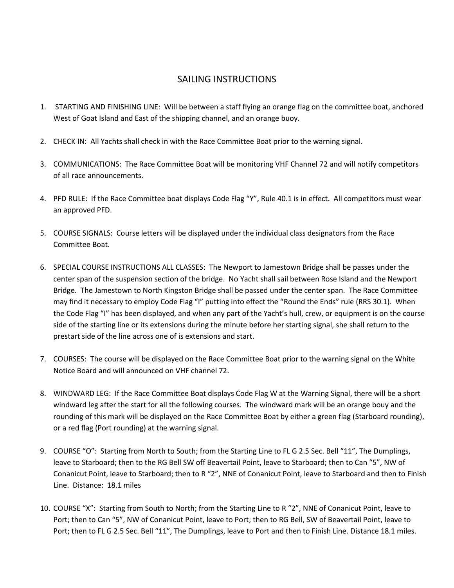#### SAILING INSTRUCTIONS

- 1. STARTING AND FINISHING LINE: Will be between a staff flying an orange flag on the committee boat, anchored West of Goat Island and East of the shipping channel, and an orange buoy.
- 2. CHECK IN: All Yachts shall check in with the Race Committee Boat prior to the warning signal.
- 3. COMMUNICATIONS: The Race Committee Boat will be monitoring VHF Channel 72 and will notify competitors of all race announcements.
- 4. PFD RULE: If the Race Committee boat displays Code Flag "Y", Rule 40.1 is in effect. All competitors must wear an approved PFD.
- 5. COURSE SIGNALS: Course letters will be displayed under the individual class designators from the Race Committee Boat.
- 6. SPECIAL COURSE INSTRUCTIONS ALL CLASSES: The Newport to Jamestown Bridge shall be passes under the center span of the suspension section of the bridge. No Yacht shall sail between Rose Island and the Newport Bridge. The Jamestown to North Kingston Bridge shall be passed under the center span. The Race Committee may find it necessary to employ Code Flag "I" putting into effect the "Round the Ends" rule (RRS 30.1). When the Code Flag "I" has been displayed, and when any part of the Yacht's hull, crew, or equipment is on the course side of the starting line or its extensions during the minute before her starting signal, she shall return to the prestart side of the line across one of is extensions and start.
- 7. COURSES: The course will be displayed on the Race Committee Boat prior to the warning signal on the White Notice Board and will announced on VHF channel 72.
- 8. WINDWARD LEG: If the Race Committee Boat displays Code Flag W at the Warning Signal, there will be a short windward leg after the start for all the following courses. The windward mark will be an orange bouy and the rounding of this mark will be displayed on the Race Committee Boat by either a green flag (Starboard rounding), or a red flag (Port rounding) at the warning signal.
- 9. COURSE "O": Starting from North to South; from the Starting Line to FL G 2.5 Sec. Bell "11", The Dumplings, leave to Starboard; then to the RG Bell SW off Beavertail Point, leave to Starboard; then to Can "5", NW of Conanicut Point, leave to Starboard; then to R "2", NNE of Conanicut Point, leave to Starboard and then to Finish Line. Distance: 18.1 miles
- 10. COURSE "X": Starting from South to North; from the Starting Line to R "2", NNE of Conanicut Point, leave to Port; then to Can "5", NW of Conanicut Point, leave to Port; then to RG Bell, SW of Beavertail Point, leave to Port; then to FL G 2.5 Sec. Bell "11", The Dumplings, leave to Port and then to Finish Line. Distance 18.1 miles.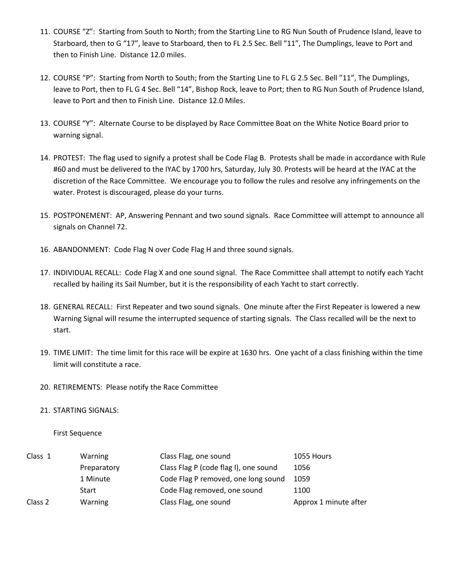- 11. COURSE "Z": Starting from South to North; from the Starting Line to RG Nun South of Prudence Island, leave to Starboard, then to G "17", leave to Starboard, then to FL 2.5 Sec. Bell "11", The Dumplings, leave to Port and then to Finish Line. Distance 12.0 miles.
- 12. COURSE "P": Starting from North to South; from the Starting Line to FL G 2.5 Sec. Bell "11", The Dumplings, leave to Port, then to FL G 4 Sec. Bell "14", Bishop Rock, leave to Port; then to RG Nun South of Prudence Island, leave to Port and then to Finish Line. Distance 12.0 Miles.
- 13. COURSE "Y": Alternate Course to be displayed by Race Committee Boat on the White Notice Board prior to warning signal.
- 14. PROTEST: The flag used to signify a protest shall be Code Flag B. Protests shall be made in accordance with Rule #60 and must be delivered to the IYAC by 1700 hrs, Saturday, July 30. Protests will be heard at the IYAC at the discretion of the Race Committee. We encourage you to follow the rules and resolve any infringements on the water. Protest is discouraged, please do your turns.
- 15. POSTPONEMENT: AP, Answering Pennant and two sound signals. Race Committee will attempt to announce all signals on Channel 72.
- 16. ABANDONMENT: Code Flag N over Code Flag H and three sound signals.
- 17. INDIVIDUAL RECALL: Code Flag X and one sound signal. The Race Committee shall attempt to notify each Yacht recalled by hailing its Sail Number, but it is the responsibility of each Yacht to start correctly.
- 18. GENERAL RECALL: First Repeater and two sound signals. One minute after the First Repeater is lowered a new Warning Signal will resume the interrupted sequence of starting signals. The Class recalled will be the next to start.
- 19. TIME LIMIT: The time limit for this race will be expire at 1630 hrs. One yacht of a class finishing within the time limit will constitute a race.
- 20. RETIREMENTS: Please notify the Race Committee

#### 21. STARTING SIGNALS:

#### First Sequence

| Class 1 | Warning        | Class Flag, one sound                 | 1055 Hours            |
|---------|----------------|---------------------------------------|-----------------------|
|         | Preparatory    | Class Flag P (code flag I), one sound | 1056                  |
|         | 1 Minute       | Code Flag P removed, one long sound   | 1059                  |
|         | Start          | Code Flag removed, one sound          | 1100                  |
| Class 2 | <b>Warning</b> | Class Flag, one sound                 | Approx 1 minute after |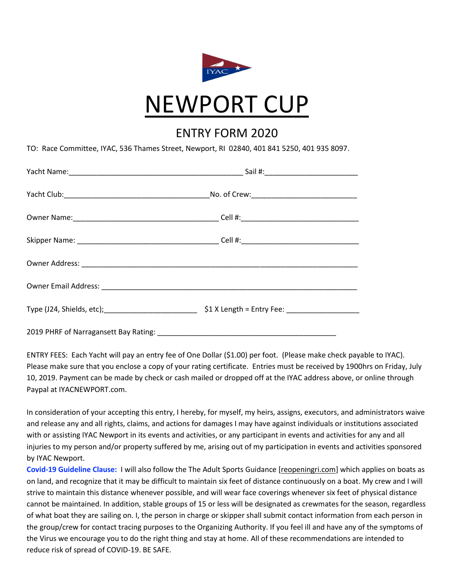

### ENTRY FORM 2020

TO: Race Committee, IYAC, 536 Thames Street, Newport, RI 02840, 401 841 5250, 401 935 8097.

| 2019 PHRF of Narragansett Bay Rating: |  |  |
|---------------------------------------|--|--|

ENTRY FEES: Each Yacht will pay an entry fee of One Dollar (\$1.00) per foot. (Please make check payable to IYAC). Please make sure that you enclose a copy of your rating certificate. Entries must be received by 1900hrs on Friday, July 10, 2019. Payment can be made by check or cash mailed or dropped off at the IYAC address above, or online through Paypal at IYACNEWPORT.com.

In consideration of your accepting this entry, I hereby, for myself, my heirs, assigns, executors, and administrators waive and release any and all rights, claims, and actions for damages I may have against individuals or institutions associated with or assisting IYAC Newport in its events and activities, or any participant in events and activities for any and all injuries to my person and/or property suffered by me, arising out of my participation in events and activities sponsored by IYAC Newport.

**Covid-19 Guideline Clause:** I will also follow the The Adult Sports Guidance [\[reopeningri.com\]](http://reopeningri.com/) which applies on boats as on land, and recognize that it may be difficult to maintain six feet of distance continuously on a boat. My crew and I will strive to maintain this distance whenever possible, and will wear face coverings whenever six feet of physical distance cannot be maintained. In addition, stable groups of 15 or less will be designated as crewmates for the season, regardless of what boat they are sailing on. I, the person in charge or skipper shall submit contact information from each person in the group/crew for contact tracing purposes to the Organizing Authority. If you feel ill and have any of the symptoms of the Virus we encourage you to do the right thing and stay at home. All of these recommendations are intended to reduce risk of spread of COVID-19. BE SAFE.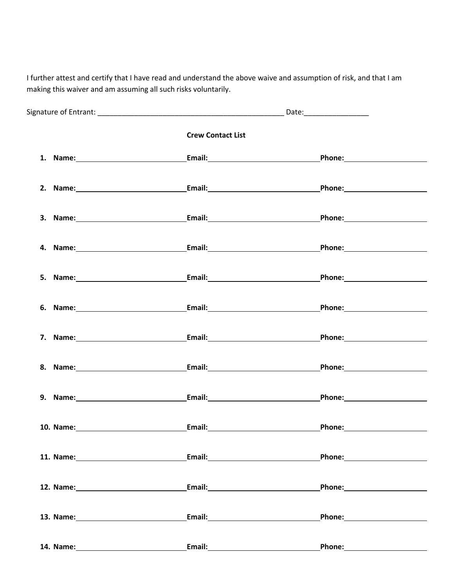I further attest and certify that I have read and understand the above waive and assumption of risk, and that I am making this waiver and am assuming all such risks voluntarily.

| <b>Crew Contact List</b>                                                                                                                                                                                                       |                                                                                                                                                                                                                                |
|--------------------------------------------------------------------------------------------------------------------------------------------------------------------------------------------------------------------------------|--------------------------------------------------------------------------------------------------------------------------------------------------------------------------------------------------------------------------------|
|                                                                                                                                                                                                                                | Phone: <u>_________________________________</u>                                                                                                                                                                                |
|                                                                                                                                                                                                                                |                                                                                                                                                                                                                                |
| 3. Name: Campbell Communication Communication Communication Communication Communication Communication Communication Communication Communication Communication Communication Communication Communication Communication Communic |                                                                                                                                                                                                                                |
|                                                                                                                                                                                                                                |                                                                                                                                                                                                                                |
|                                                                                                                                                                                                                                |                                                                                                                                                                                                                                |
|                                                                                                                                                                                                                                |                                                                                                                                                                                                                                |
|                                                                                                                                                                                                                                | Phone: 2008                                                                                                                                                                                                                    |
|                                                                                                                                                                                                                                |                                                                                                                                                                                                                                |
|                                                                                                                                                                                                                                |                                                                                                                                                                                                                                |
| 10. Name: Email: Email: Email:                                                                                                                                                                                                 | Phone: The contract of the contract of the contract of the contract of the contract of the contract of the contract of the contract of the contract of the contract of the contract of the contract of the contract of the con |
|                                                                                                                                                                                                                                |                                                                                                                                                                                                                                |
| <b>Email:_____________________________</b>                                                                                                                                                                                     |                                                                                                                                                                                                                                |
| 13. Name: 13. Name:                                                                                                                                                                                                            |                                                                                                                                                                                                                                |
| Email: 2008 2010 2020 2021 2022 2023 2024 2022 2022 2023 2024 2022 2023 2024 2022 2023 2024 2025 2026 2027 20                                                                                                                  |                                                                                                                                                                                                                                |